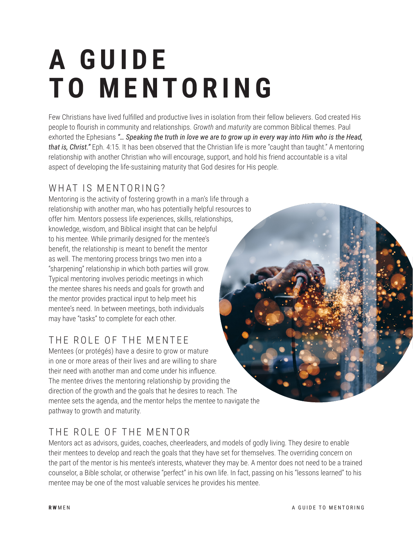# **A G U I D E TO MENTORING**

Few Christians have lived fulfilled and productive lives in isolation from their fellow believers. God created His people to flourish in community and relationships. *Growth* and *maturity* are common Biblical themes. Paul exhorted the Ephesians *"… Speaking the truth in love we are to grow up in every way into Him who is the Head, that is, Christ."* Eph. 4:15. It has been observed that the Christian life is more "caught than taught." A mentoring relationship with another Christian who will encourage, support, and hold his friend accountable is a vital aspect of developing the life-sustaining maturity that God desires for His people.

# WHAT IS MENTORING?

Mentoring is the activity of fostering growth in a man's life through a relationship with another man, who has potentially helpful resources to offer him. Mentors possess life experiences, skills, relationships, knowledge, wisdom, and Biblical insight that can be helpful to his mentee. While primarily designed for the mentee's benefit, the relationship is meant to benefit the mentor as well. The mentoring process brings two men into a "sharpening" relationship in which both parties will grow. Typical mentoring involves periodic meetings in which the mentee shares his needs and goals for growth and the mentor provides practical input to help meet his mentee's need. In between meetings, both individuals may have "tasks" to complete for each other.

# THE ROLE OF THE MENTEE

Mentees (or protégés) have a desire to grow or mature in one or more areas of their lives and are willing to share their need with another man and come under his influence. The mentee drives the mentoring relationship by providing the direction of the growth and the goals that he desires to reach. The mentee sets the agenda, and the mentor helps the mentee to navigate the pathway to growth and maturity.

# THE ROLE OF THE MENTOR

Mentors act as advisors, guides, coaches, cheerleaders, and models of godly living. They desire to enable their mentees to develop and reach the goals that they have set for themselves. The overriding concern on the part of the mentor is his mentee's interests, whatever they may be. A mentor does not need to be a trained counselor, a Bible scholar, or otherwise "perfect" in his own life. In fact, passing on his "lessons learned" to his mentee may be one of the most valuable services he provides his mentee.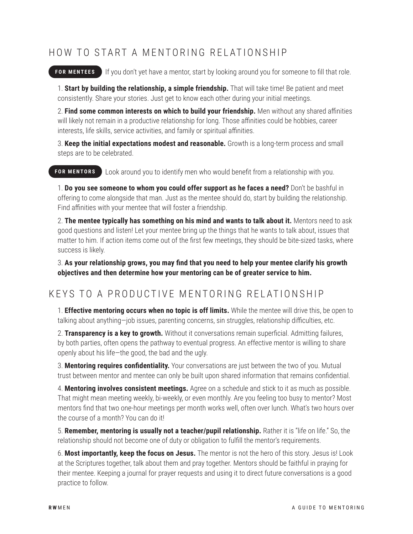#### HOW TO START A MENTORING RELATIONSHIP

### **FOR MENTEES** If you don't yet have a mentor, start by looking around you for someone to fill that role.

1. **Start by building the relationship, a simple friendship.** That will take time! Be patient and meet consistently. Share your stories. Just get to know each other during your initial meetings.

2. **Find some common interests on which to build your friendship.** Men without any shared affinities will likely not remain in a productive relationship for long. Those affinities could be hobbies, career interests, life skills, service activities, and family or spiritual affinities.

3. **Keep the initial expectations modest and reasonable.** Growth is a long-term process and small steps are to be celebrated.

**FOR MENTORS** Look around you to identify men who would benefit from a relationship with you.

1. **Do you see someone to whom you could offer support as he faces a need?** Don't be bashful in offering to come alongside that man. Just as the mentee should do, start by building the relationship. Find affinities with your mentee that will foster a friendship.

2. **The mentee typically has something on his mind and wants to talk about it.** Mentors need to ask good questions and listen! Let your mentee bring up the things that he wants to talk about, issues that matter to him. If action items come out of the first few meetings, they should be bite-sized tasks, where success is likely.

3. **As your relationship grows, you may find that you need to help your mentee clarify his growth objectives and then determine how your mentoring can be of greater service to him.**

#### KEYS TO A PRODUCTIVE MENTORING RELATIONSHIP

1. **Effective mentoring occurs when no topic is off limits.** While the mentee will drive this, be open to talking about anything—job issues, parenting concerns, sin struggles, relationship difficulties, etc.

2. **Transparency is a key to growth.** Without it conversations remain superficial. Admitting failures, by both parties, often opens the pathway to eventual progress. An effective mentor is willing to share openly about his life—the good, the bad and the ugly.

3. **Mentoring requires confidentiality.** Your conversations are just between the two of you. Mutual trust between mentor and mentee can only be built upon shared information that remains confidential.

4. **Mentoring involves consistent meetings.** Agree on a schedule and stick to it as much as possible. That might mean meeting weekly, bi-weekly, or even monthly. Are you feeling too busy to mentor? Most mentors find that two one-hour meetings per month works well, often over lunch. What's two hours over the course of a month? You can do it!

5. **Remember, mentoring is usually not a teacher/pupil relationship.** Rather it is "life on life." So, the relationship should not become one of duty or obligation to fulfill the mentor's requirements.

6. **Most importantly, keep the focus on Jesus.** The mentor is not the hero of this story. Jesus is! Look at the Scriptures together, talk about them and pray together. Mentors should be faithful in praying for their mentee. Keeping a journal for prayer requests and using it to direct future conversations is a good practice to follow.